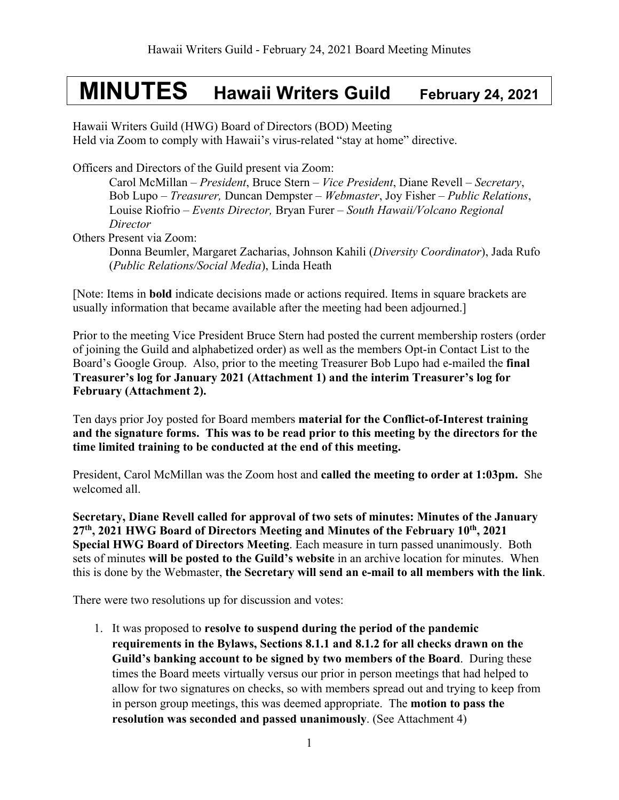# **MINUTES Hawaii Writers Guild February 24, 2021**

Hawaii Writers Guild (HWG) Board of Directors (BOD) Meeting Held via Zoom to comply with Hawaii's virus-related "stay at home" directive.

Officers and Directors of the Guild present via Zoom:

Carol McMillan – *President*, Bruce Stern – *Vice President*, Diane Revell – *Secretary*, Bob Lupo – *Treasurer,* Duncan Dempster – *Webmaster*, Joy Fisher – *Public Relations*, Louise Riofrio – *Events Director,* Bryan Furer – *South Hawaii/Volcano Regional Director* 

Others Present via Zoom:

Donna Beumler, Margaret Zacharias, Johnson Kahili (*Diversity Coordinator*), Jada Rufo (*Public Relations/Social Media*), Linda Heath

[Note: Items in **bold** indicate decisions made or actions required. Items in square brackets are usually information that became available after the meeting had been adjourned.]

Prior to the meeting Vice President Bruce Stern had posted the current membership rosters (order of joining the Guild and alphabetized order) as well as the members Opt-in Contact List to the Board's Google Group. Also, prior to the meeting Treasurer Bob Lupo had e-mailed the **final Treasurer's log for January 2021 (Attachment 1) and the interim Treasurer's log for February (Attachment 2).** 

Ten days prior Joy posted for Board members **material for the Conflict-of-Interest training and the signature forms. This was to be read prior to this meeting by the directors for the time limited training to be conducted at the end of this meeting.**

President, Carol McMillan was the Zoom host and **called the meeting to order at 1:03pm.** She welcomed all.

**Secretary, Diane Revell called for approval of two sets of minutes: Minutes of the January 27th, 2021 HWG Board of Directors Meeting and Minutes of the February 10th, 2021 Special HWG Board of Directors Meeting**. Each measure in turn passed unanimously. Both sets of minutes **will be posted to the Guild's website** in an archive location for minutes. When this is done by the Webmaster, **the Secretary will send an e-mail to all members with the link**.

There were two resolutions up for discussion and votes:

1. It was proposed to **resolve to suspend during the period of the pandemic requirements in the Bylaws, Sections 8.1.1 and 8.1.2 for all checks drawn on the Guild's banking account to be signed by two members of the Board**. During these times the Board meets virtually versus our prior in person meetings that had helped to allow for two signatures on checks, so with members spread out and trying to keep from in person group meetings, this was deemed appropriate. The **motion to pass the resolution was seconded and passed unanimously**. (See Attachment 4)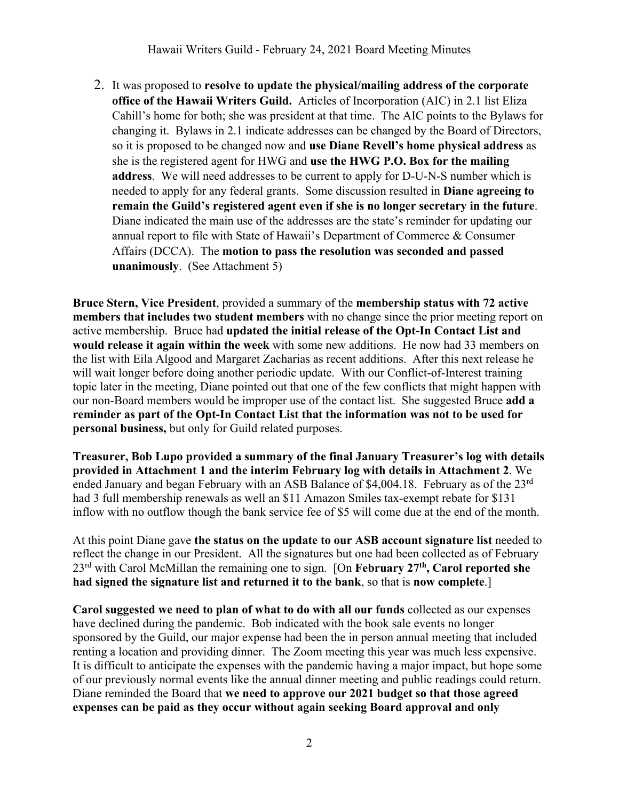2. It was proposed to **resolve to update the physical/mailing address of the corporate office of the Hawaii Writers Guild.** Articles of Incorporation (AIC) in 2.1 list Eliza Cahill's home for both; she was president at that time. The AIC points to the Bylaws for changing it. Bylaws in 2.1 indicate addresses can be changed by the Board of Directors, so it is proposed to be changed now and **use Diane Revell's home physical address** as she is the registered agent for HWG and **use the HWG P.O. Box for the mailing address**. We will need addresses to be current to apply for D-U-N-S number which is needed to apply for any federal grants. Some discussion resulted in **Diane agreeing to remain the Guild's registered agent even if she is no longer secretary in the future**. Diane indicated the main use of the addresses are the state's reminder for updating our annual report to file with State of Hawaii's Department of Commerce & Consumer Affairs (DCCA). The **motion to pass the resolution was seconded and passed unanimously**. (See Attachment 5)

**Bruce Stern, Vice President**, provided a summary of the **membership status with 72 active members that includes two student members** with no change since the prior meeting report on active membership. Bruce had **updated the initial release of the Opt-In Contact List and would release it again within the week** with some new additions. He now had 33 members on the list with Eila Algood and Margaret Zacharias as recent additions. After this next release he will wait longer before doing another periodic update. With our Conflict-of-Interest training topic later in the meeting, Diane pointed out that one of the few conflicts that might happen with our non-Board members would be improper use of the contact list. She suggested Bruce **add a reminder as part of the Opt-In Contact List that the information was not to be used for personal business,** but only for Guild related purposes.

**Treasurer, Bob Lupo provided a summary of the final January Treasurer's log with details provided in Attachment 1 and the interim February log with details in Attachment 2**. We ended January and began February with an ASB Balance of \$4,004.18. February as of the 23<sup>rd</sup> had 3 full membership renewals as well an \$11 Amazon Smiles tax-exempt rebate for \$131 inflow with no outflow though the bank service fee of \$5 will come due at the end of the month.

At this point Diane gave **the status on the update to our ASB account signature list** needed to reflect the change in our President. All the signatures but one had been collected as of February 23rd with Carol McMillan the remaining one to sign. [On **February 27th, Carol reported she had signed the signature list and returned it to the bank**, so that is **now complete**.]

**Carol suggested we need to plan of what to do with all our funds** collected as our expenses have declined during the pandemic. Bob indicated with the book sale events no longer sponsored by the Guild, our major expense had been the in person annual meeting that included renting a location and providing dinner. The Zoom meeting this year was much less expensive. It is difficult to anticipate the expenses with the pandemic having a major impact, but hope some of our previously normal events like the annual dinner meeting and public readings could return. Diane reminded the Board that **we need to approve our 2021 budget so that those agreed expenses can be paid as they occur without again seeking Board approval and only**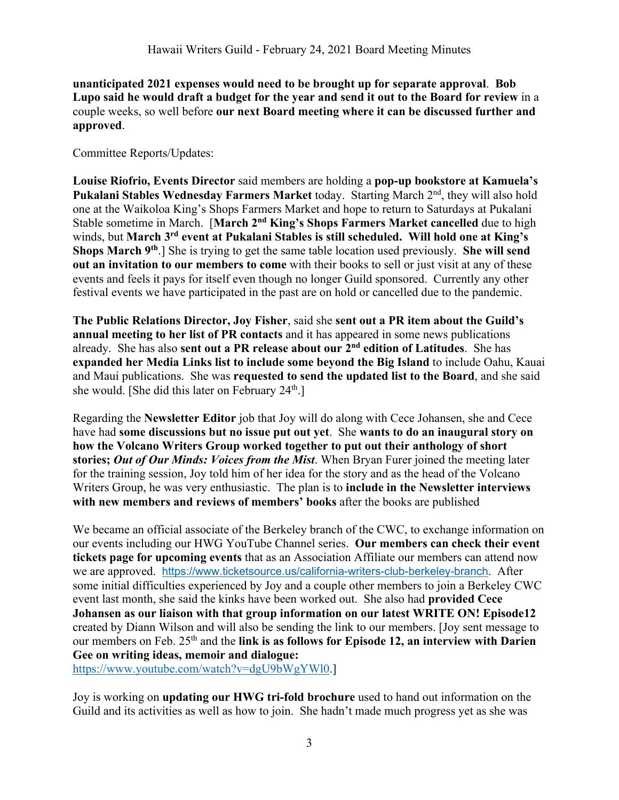**unanticipated 2021 expenses would need to be brought up for separate approval**. **Bob Lupo said he would draft a budget for the year and send it out to the Board for review** in a couple weeks, so well before **our next Board meeting where it can be discussed further and approved**.

Committee Reports/Updates:

**Louise Riofrio, Events Director** said members are holding a **pop-up bookstore at Kamuela's Pukalani Stables Wednesday Farmers Market** today. Starting March 2nd, they will also hold one at the Waikoloa King's Shops Farmers Market and hope to return to Saturdays at Pukalani Stable sometime in March. [**March 2nd King's Shops Farmers Market cancelled** due to high winds, but **March 3rd event at Pukalani Stables is still scheduled. Will hold one at King's Shops March 9th**.] She is trying to get the same table location used previously. **She will send out an invitation to our members to come** with their books to sell or just visit at any of these events and feels it pays for itself even though no longer Guild sponsored. Currently any other festival events we have participated in the past are on hold or cancelled due to the pandemic.

**The Public Relations Director, Joy Fisher**, said she **sent out a PR item about the Guild's annual meeting to her list of PR contacts** and it has appeared in some news publications already. She has also **sent out a PR release about our 2nd edition of Latitudes**. She has **expanded her Media Links list to include some beyond the Big Island** to include Oahu, Kauai and Maui publications. She was **requested to send the updated list to the Board**, and she said she would. [She did this later on February  $24<sup>th</sup>$ .]

Regarding the **Newsletter Editor** job that Joy will do along with Cece Johansen, she and Cece have had **some discussions but no issue put out yet**. She **wants to do an inaugural story on how the Volcano Writers Group worked together to put out their anthology of short stories;** *Out of Our Minds: Voices from the Mist*. When Bryan Furer joined the meeting later for the training session, Joy told him of her idea for the story and as the head of the Volcano Writers Group, he was very enthusiastic. The plan is to **include in the Newsletter interviews with new members and reviews of members' books** after the books are published

We became an official associate of the Berkeley branch of the CWC, to exchange information on our events including our HWG YouTube Channel series. **Our members can check their event tickets page for upcoming events** that as an Association Affiliate our members can attend now we are approved. https://www.ticketsource.us/california-writers-club-berkeley-branch. After some initial difficulties experienced by Joy and a couple other members to join a Berkeley CWC event last month, she said the kinks have been worked out. She also had **provided Cece Johansen as our liaison with that group information on our latest WRITE ON! Episode12** created by Diann Wilson and will also be sending the link to our members. [Joy sent message to our members on Feb. 25th and the **link is as follows for Episode 12, an interview with Darien Gee on writing ideas, memoir and dialogue:** 

https://www.youtube.com/watch?v=dgU9bWgYWl0.]

Joy is working on **updating our HWG tri-fold brochure** used to hand out information on the Guild and its activities as well as how to join. She hadn't made much progress yet as she was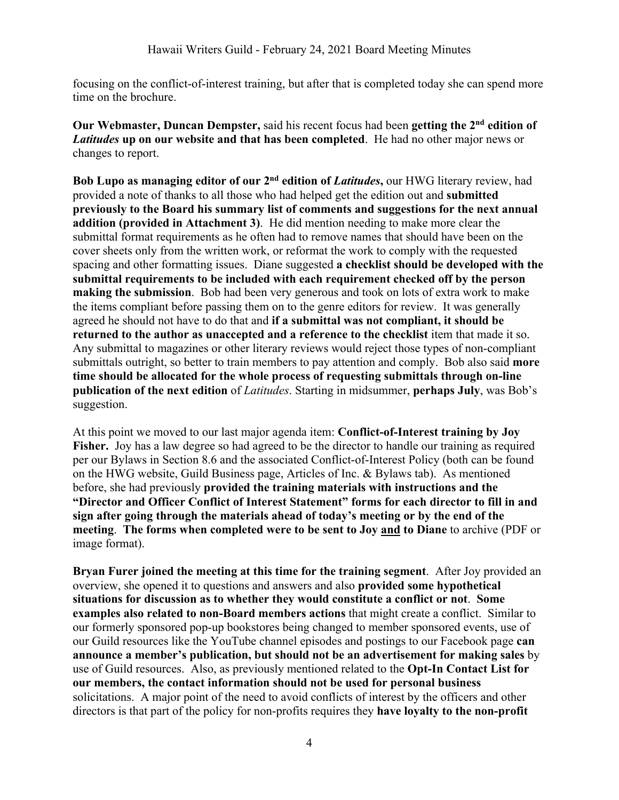focusing on the conflict-of-interest training, but after that is completed today she can spend more time on the brochure.

**Our Webmaster, Duncan Dempster,** said his recent focus had been **getting the 2nd edition of**  *Latitudes* **up on our website and that has been completed**. He had no other major news or changes to report.

**Bob Lupo as managing editor of our 2nd edition of** *Latitudes***,** our HWG literary review, had provided a note of thanks to all those who had helped get the edition out and **submitted previously to the Board his summary list of comments and suggestions for the next annual addition (provided in Attachment 3)**. He did mention needing to make more clear the submittal format requirements as he often had to remove names that should have been on the cover sheets only from the written work, or reformat the work to comply with the requested spacing and other formatting issues. Diane suggested **a checklist should be developed with the submittal requirements to be included with each requirement checked off by the person making the submission**. Bob had been very generous and took on lots of extra work to make the items compliant before passing them on to the genre editors for review. It was generally agreed he should not have to do that and **if a submittal was not compliant, it should be returned to the author as unaccepted and a reference to the checklist** item that made it so. Any submittal to magazines or other literary reviews would reject those types of non-compliant submittals outright, so better to train members to pay attention and comply. Bob also said **more time should be allocated for the whole process of requesting submittals through on-line publication of the next edition** of *Latitudes*. Starting in midsummer, **perhaps July**, was Bob's suggestion.

At this point we moved to our last major agenda item: **Conflict-of-Interest training by Joy Fisher.** Joy has a law degree so had agreed to be the director to handle our training as required per our Bylaws in Section 8.6 and the associated Conflict-of-Interest Policy (both can be found on the HWG website, Guild Business page, Articles of Inc. & Bylaws tab). As mentioned before, she had previously **provided the training materials with instructions and the "Director and Officer Conflict of Interest Statement" forms for each director to fill in and sign after going through the materials ahead of today's meeting or by the end of the meeting**. **The forms when completed were to be sent to Joy and to Diane** to archive (PDF or image format).

**Bryan Furer joined the meeting at this time for the training segment**. After Joy provided an overview, she opened it to questions and answers and also **provided some hypothetical situations for discussion as to whether they would constitute a conflict or not**. **Some examples also related to non-Board members actions** that might create a conflict. Similar to our formerly sponsored pop-up bookstores being changed to member sponsored events, use of our Guild resources like the YouTube channel episodes and postings to our Facebook page **can announce a member's publication, but should not be an advertisement for making sales** by use of Guild resources. Also, as previously mentioned related to the **Opt-In Contact List for our members, the contact information should not be used for personal business** solicitations. A major point of the need to avoid conflicts of interest by the officers and other directors is that part of the policy for non-profits requires they **have loyalty to the non-profit**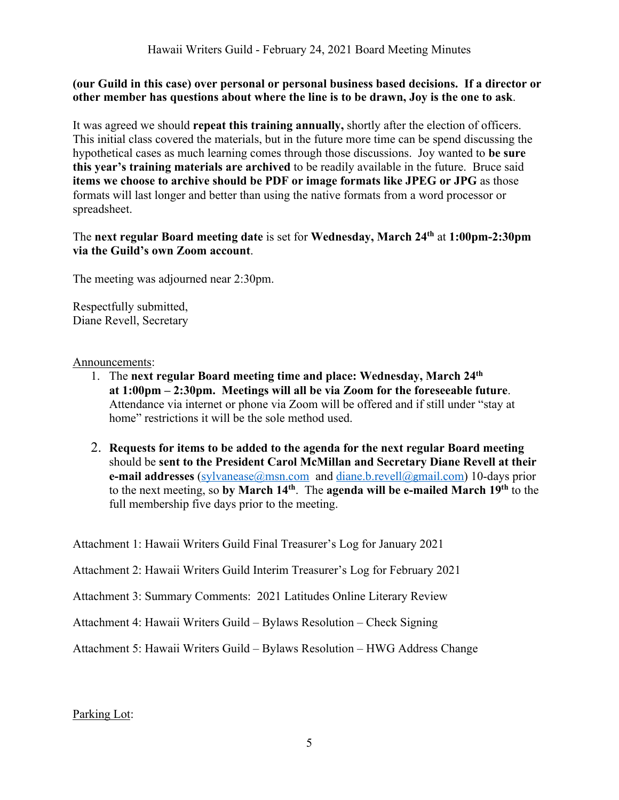## **(our Guild in this case) over personal or personal business based decisions. If a director or other member has questions about where the line is to be drawn, Joy is the one to ask**.

It was agreed we should **repeat this training annually,** shortly after the election of officers. This initial class covered the materials, but in the future more time can be spend discussing the hypothetical cases as much learning comes through those discussions. Joy wanted to **be sure this year's training materials are archived** to be readily available in the future. Bruce said **items we choose to archive should be PDF or image formats like JPEG or JPG** as those formats will last longer and better than using the native formats from a word processor or spreadsheet.

## The **next regular Board meeting date** is set for **Wednesday, March 24th** at **1:00pm-2:30pm via the Guild's own Zoom account**.

The meeting was adjourned near 2:30pm.

Respectfully submitted, Diane Revell, Secretary

### Announcements:

- 1. The **next regular Board meeting time and place: Wednesday, March 24th at 1:00pm – 2:30pm. Meetings will all be via Zoom for the foreseeable future**. Attendance via internet or phone via Zoom will be offered and if still under "stay at home" restrictions it will be the sole method used.
- 2. **Requests for items to be added to the agenda for the next regular Board meeting** should be **sent to the President Carol McMillan and Secretary Diane Revell at their e-mail addresses** (sylvanease@msn.com and diane.b.revell@gmail.com) 10-days prior to the next meeting, so **by March 14th**. The **agenda will be e-mailed March 19th** to the full membership five days prior to the meeting.

Attachment 1: Hawaii Writers Guild Final Treasurer's Log for January 2021

Attachment 2: Hawaii Writers Guild Interim Treasurer's Log for February 2021

Attachment 3: Summary Comments: 2021 Latitudes Online Literary Review

Attachment 4: Hawaii Writers Guild – Bylaws Resolution – Check Signing

Attachment 5: Hawaii Writers Guild – Bylaws Resolution – HWG Address Change

## Parking Lot: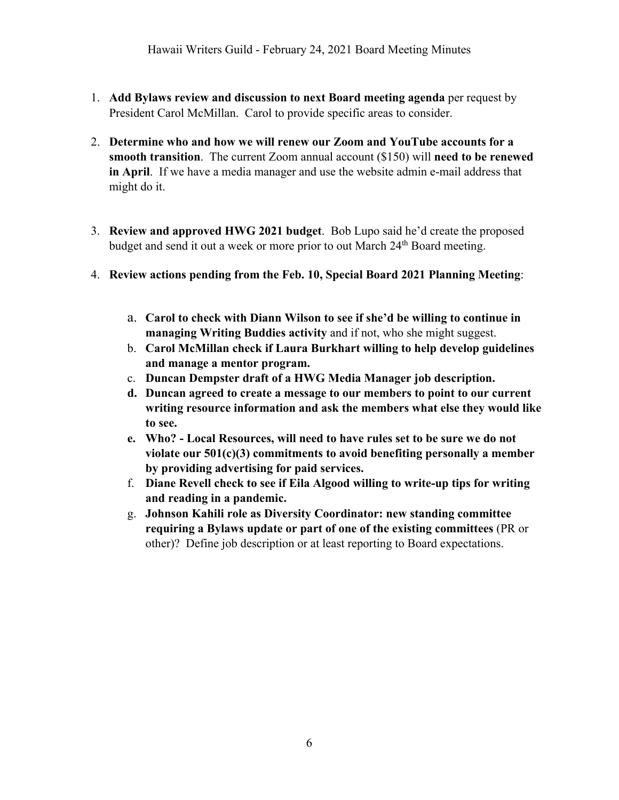- 1. **Add Bylaws review and discussion to next Board meeting agenda** per request by President Carol McMillan. Carol to provide specific areas to consider.
- 2. **Determine who and how we will renew our Zoom and YouTube accounts for a smooth transition**. The current Zoom annual account (\$150) will **need to be renewed in April**. If we have a media manager and use the website admin e-mail address that might do it.
- 3. **Review and approved HWG 2021 budget**. Bob Lupo said he'd create the proposed budget and send it out a week or more prior to out March 24<sup>th</sup> Board meeting.
- 4. **Review actions pending from the Feb. 10, Special Board 2021 Planning Meeting**:
	- a. **Carol to check with Diann Wilson to see if she'd be willing to continue in managing Writing Buddies activity** and if not, who she might suggest.
	- b. **Carol McMillan check if Laura Burkhart willing to help develop guidelines and manage a mentor program.**
	- c. **Duncan Dempster draft of a HWG Media Manager job description.**
	- **d. Duncan agreed to create a message to our members to point to our current writing resource information and ask the members what else they would like to see.**
	- **e. Who? - Local Resources, will need to have rules set to be sure we do not violate our 501(c)(3) commitments to avoid benefiting personally a member by providing advertising for paid services.**
	- f. **Diane Revell check to see if Eila Algood willing to write-up tips for writing and reading in a pandemic.**
	- g. **Johnson Kahili role as Diversity Coordinator: new standing committee requiring a Bylaws update or part of one of the existing committees** (PR or other)? Define job description or at least reporting to Board expectations.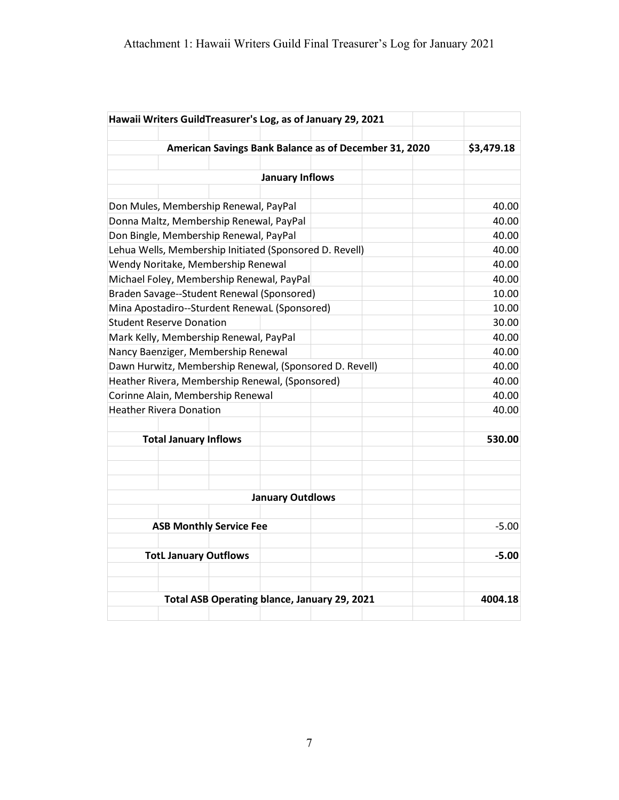| Hawaii Writers GuildTreasurer's Log, as of January 29, 2021 |                                                         |  |                                              |  |                                                       |            |  |  |
|-------------------------------------------------------------|---------------------------------------------------------|--|----------------------------------------------|--|-------------------------------------------------------|------------|--|--|
|                                                             |                                                         |  |                                              |  |                                                       |            |  |  |
|                                                             |                                                         |  |                                              |  | American Savings Bank Balance as of December 31, 2020 | \$3,479.18 |  |  |
|                                                             |                                                         |  |                                              |  |                                                       |            |  |  |
|                                                             |                                                         |  | January Inflows                              |  |                                                       |            |  |  |
|                                                             |                                                         |  |                                              |  |                                                       |            |  |  |
| Don Mules, Membership Renewal, PayPal                       |                                                         |  |                                              |  |                                                       | 40.00      |  |  |
| Donna Maltz, Membership Renewal, PayPal                     |                                                         |  | 40.00                                        |  |                                                       |            |  |  |
| Don Bingle, Membership Renewal, PayPal                      | 40.00                                                   |  |                                              |  |                                                       |            |  |  |
|                                                             | Lehua Wells, Membership Initiated (Sponsored D. Revell) |  |                                              |  |                                                       |            |  |  |
| Wendy Noritake, Membership Renewal                          | 40.00                                                   |  |                                              |  |                                                       |            |  |  |
| Michael Foley, Membership Renewal, PayPal                   | 40.00                                                   |  |                                              |  |                                                       |            |  |  |
| Braden Savage--Student Renewal (Sponsored)                  | 10.00                                                   |  |                                              |  |                                                       |            |  |  |
| Mina Apostadiro--Sturdent RenewaL (Sponsored)               | 10.00                                                   |  |                                              |  |                                                       |            |  |  |
| <b>Student Reserve Donation</b>                             | 30.00                                                   |  |                                              |  |                                                       |            |  |  |
| Mark Kelly, Membership Renewal, PayPal                      | 40.00                                                   |  |                                              |  |                                                       |            |  |  |
| Nancy Baenziger, Membership Renewal                         | 40.00                                                   |  |                                              |  |                                                       |            |  |  |
| Dawn Hurwitz, Membership Renewal, (Sponsored D. Revell)     | 40.00                                                   |  |                                              |  |                                                       |            |  |  |
| Heather Rivera, Membership Renewal, (Sponsored)             | 40.00                                                   |  |                                              |  |                                                       |            |  |  |
| Corinne Alain, Membership Renewal                           | 40.00                                                   |  |                                              |  |                                                       |            |  |  |
| <b>Heather Rivera Donation</b>                              | 40.00                                                   |  |                                              |  |                                                       |            |  |  |
|                                                             |                                                         |  |                                              |  |                                                       |            |  |  |
|                                                             | <b>Total January Inflows</b>                            |  |                                              |  |                                                       | 530.00     |  |  |
|                                                             |                                                         |  |                                              |  |                                                       |            |  |  |
|                                                             |                                                         |  |                                              |  |                                                       |            |  |  |
|                                                             |                                                         |  |                                              |  |                                                       |            |  |  |
|                                                             |                                                         |  | <b>January Outdlows</b>                      |  |                                                       |            |  |  |
|                                                             |                                                         |  |                                              |  |                                                       |            |  |  |
| <b>ASB Monthly Service Fee</b>                              | $-5.00$                                                 |  |                                              |  |                                                       |            |  |  |
|                                                             |                                                         |  |                                              |  |                                                       |            |  |  |
| <b>TotL January Outflows</b>                                | $-5.00$                                                 |  |                                              |  |                                                       |            |  |  |
|                                                             |                                                         |  |                                              |  |                                                       |            |  |  |
|                                                             |                                                         |  |                                              |  |                                                       |            |  |  |
|                                                             |                                                         |  | Total ASB Operating blance, January 29, 2021 |  |                                                       | 4004.18    |  |  |
|                                                             |                                                         |  |                                              |  |                                                       |            |  |  |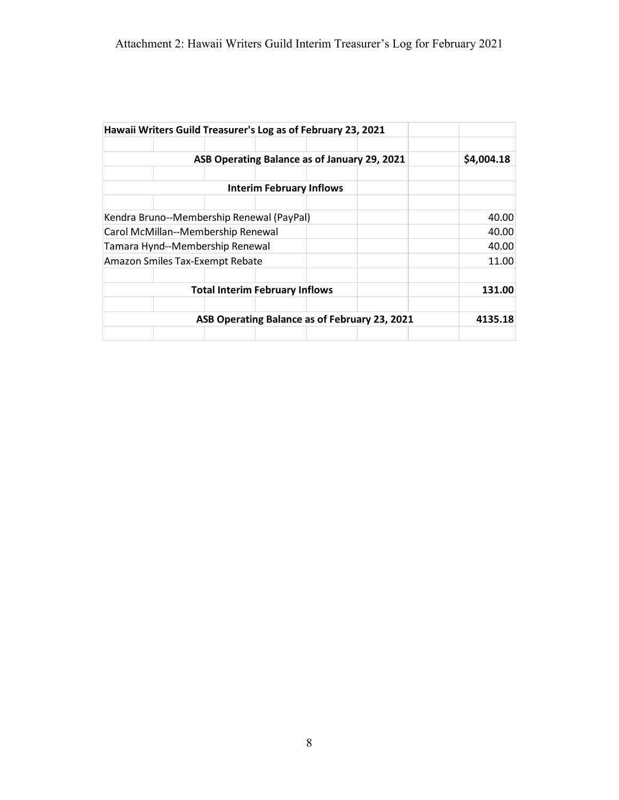|                                           |            | Hawaii Writers Guild Treasurer's Log as of February 23, 2021 |                                 |  |  |       |
|-------------------------------------------|------------|--------------------------------------------------------------|---------------------------------|--|--|-------|
|                                           |            |                                                              |                                 |  |  |       |
|                                           | \$4,004.18 |                                                              |                                 |  |  |       |
|                                           |            |                                                              |                                 |  |  |       |
|                                           |            |                                                              | <b>Interim February Inflows</b> |  |  |       |
|                                           |            |                                                              |                                 |  |  |       |
| Kendra Bruno--Membership Renewal (PayPal) | 40.00      |                                                              |                                 |  |  |       |
| Carol McMillan--Membership Renewal        | 40.00      |                                                              |                                 |  |  |       |
| Tamara Hynd--Membership Renewal           | 40.00      |                                                              |                                 |  |  |       |
| Amazon Smiles Tax-Exempt Rebate           |            |                                                              |                                 |  |  | 11.00 |
|                                           |            |                                                              |                                 |  |  |       |
|                                           | 131.00     |                                                              |                                 |  |  |       |
|                                           |            |                                                              |                                 |  |  |       |
|                                           | 4135.18    |                                                              |                                 |  |  |       |
|                                           |            |                                                              |                                 |  |  |       |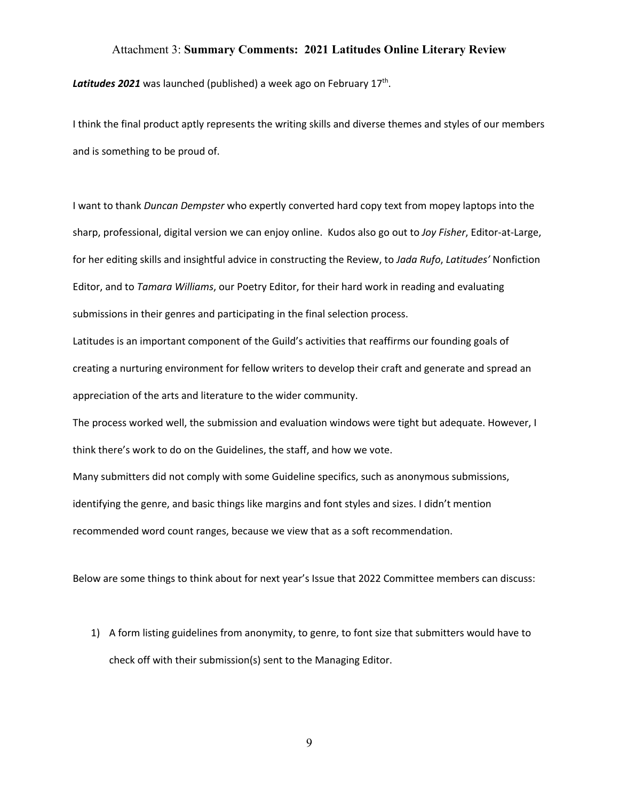#### Attachment 3: **Summary Comments: 2021 Latitudes Online Literary Review**

Latitudes 2021 was launched (published) a week ago on February 17<sup>th</sup>.

I think the final product aptly represents the writing skills and diverse themes and styles of our members and is something to be proud of.

I want to thank *Duncan Dempster* who expertly converted hard copy text from mopey laptops into the sharp, professional, digital version we can enjoy online. Kudos also go out to *Joy Fisher*, Editor-at-Large, for her editing skills and insightful advice in constructing the Review, to *Jada Rufo*, *Latitudes'* Nonfiction Editor, and to *Tamara Williams*, our Poetry Editor, for their hard work in reading and evaluating submissions in their genres and participating in the final selection process.

Latitudes is an important component of the Guild's activities that reaffirms our founding goals of creating a nurturing environment for fellow writers to develop their craft and generate and spread an appreciation of the arts and literature to the wider community.

The process worked well, the submission and evaluation windows were tight but adequate. However, I think there's work to do on the Guidelines, the staff, and how we vote.

Many submitters did not comply with some Guideline specifics, such as anonymous submissions, identifying the genre, and basic things like margins and font styles and sizes. I didn't mention recommended word count ranges, because we view that as a soft recommendation.

Below are some things to think about for next year's Issue that 2022 Committee members can discuss:

1) A form listing guidelines from anonymity, to genre, to font size that submitters would have to check off with their submission(s) sent to the Managing Editor.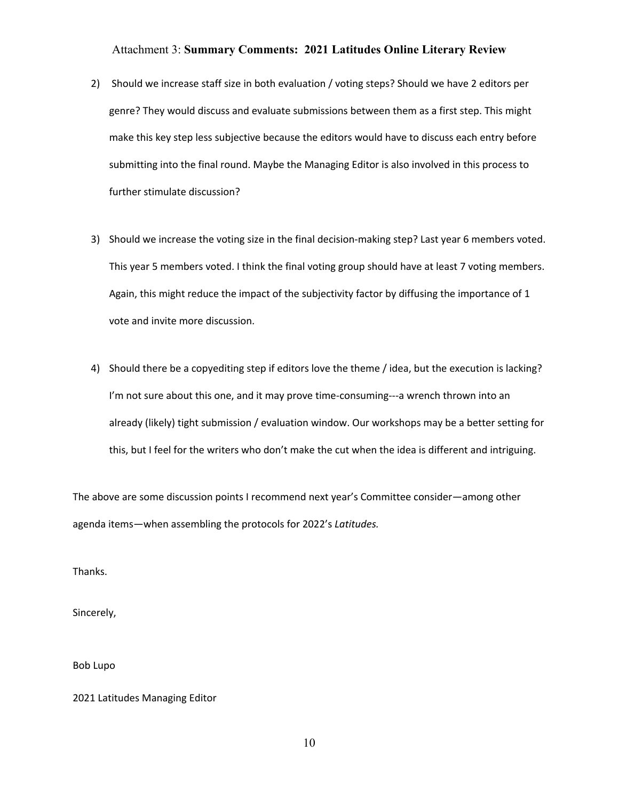#### Attachment 3: **Summary Comments: 2021 Latitudes Online Literary Review**

- 2) Should we increase staff size in both evaluation / voting steps? Should we have 2 editors per genre? They would discuss and evaluate submissions between them as a first step. This might make this key step less subjective because the editors would have to discuss each entry before submitting into the final round. Maybe the Managing Editor is also involved in this process to further stimulate discussion?
- 3) Should we increase the voting size in the final decision-making step? Last year 6 members voted. This year 5 members voted. I think the final voting group should have at least 7 voting members. Again, this might reduce the impact of the subjectivity factor by diffusing the importance of 1 vote and invite more discussion.
- 4) Should there be a copyediting step if editors love the theme / idea, but the execution is lacking? I'm not sure about this one, and it may prove time-consuming---a wrench thrown into an already (likely) tight submission / evaluation window. Our workshops may be a better setting for this, but I feel for the writers who don't make the cut when the idea is different and intriguing.

The above are some discussion points I recommend next year's Committee consider—among other agenda items—when assembling the protocols for 2022's *Latitudes.*

Thanks.

Sincerely,

Bob Lupo

2021 Latitudes Managing Editor

10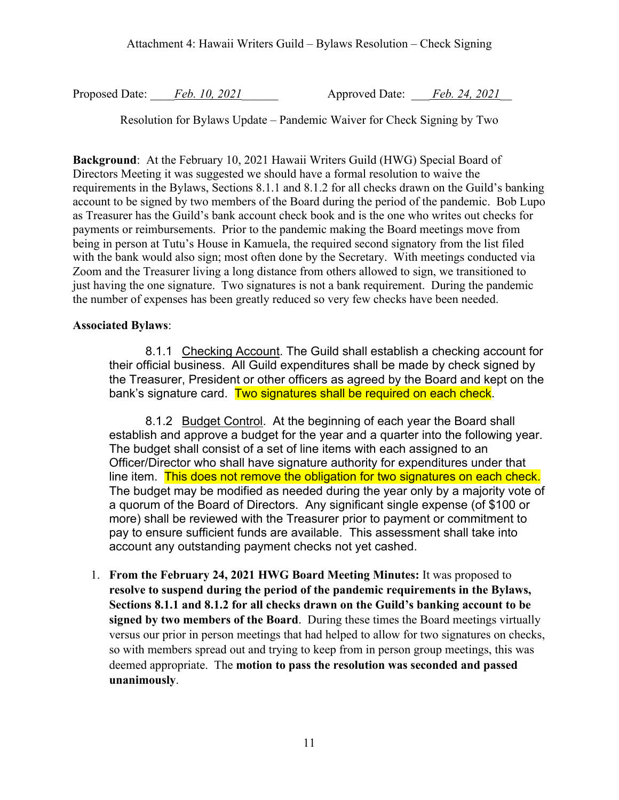Proposed Date: <u>Feb. 10, 2021</u> Approved Date: Feb. 24, 2021

Resolution for Bylaws Update – Pandemic Waiver for Check Signing by Two

**Background**: At the February 10, 2021 Hawaii Writers Guild (HWG) Special Board of Directors Meeting it was suggested we should have a formal resolution to waive the requirements in the Bylaws, Sections 8.1.1 and 8.1.2 for all checks drawn on the Guild's banking account to be signed by two members of the Board during the period of the pandemic. Bob Lupo as Treasurer has the Guild's bank account check book and is the one who writes out checks for payments or reimbursements. Prior to the pandemic making the Board meetings move from being in person at Tutu's House in Kamuela, the required second signatory from the list filed with the bank would also sign; most often done by the Secretary. With meetings conducted via Zoom and the Treasurer living a long distance from others allowed to sign, we transitioned to just having the one signature. Two signatures is not a bank requirement. During the pandemic the number of expenses has been greatly reduced so very few checks have been needed.

## **Associated Bylaws**:

8.1.1 Checking Account. The Guild shall establish a checking account for their official business. All Guild expenditures shall be made by check signed by the Treasurer, President or other officers as agreed by the Board and kept on the bank's signature card. Two signatures shall be required on each check.

8.1.2 Budget Control. At the beginning of each year the Board shall establish and approve a budget for the year and a quarter into the following year. The budget shall consist of a set of line items with each assigned to an Officer/Director who shall have signature authority for expenditures under that line item. This does not remove the obligation for two signatures on each check. The budget may be modified as needed during the year only by a majority vote of a quorum of the Board of Directors. Any significant single expense (of \$100 or more) shall be reviewed with the Treasurer prior to payment or commitment to pay to ensure sufficient funds are available. This assessment shall take into account any outstanding payment checks not yet cashed.

1. **From the February 24, 2021 HWG Board Meeting Minutes:** It was proposed to **resolve to suspend during the period of the pandemic requirements in the Bylaws, Sections 8.1.1 and 8.1.2 for all checks drawn on the Guild's banking account to be signed by two members of the Board**. During these times the Board meetings virtually versus our prior in person meetings that had helped to allow for two signatures on checks, so with members spread out and trying to keep from in person group meetings, this was deemed appropriate. The **motion to pass the resolution was seconded and passed unanimously**.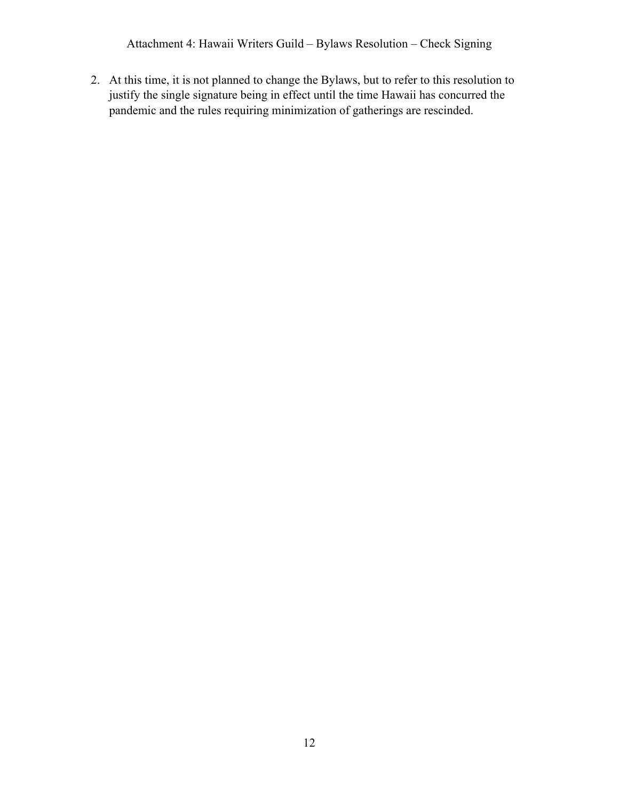Attachment 4: Hawaii Writers Guild – Bylaws Resolution – Check Signing

2. At this time, it is not planned to change the Bylaws, but to refer to this resolution to justify the single signature being in effect until the time Hawaii has concurred the pandemic and the rules requiring minimization of gatherings are rescinded.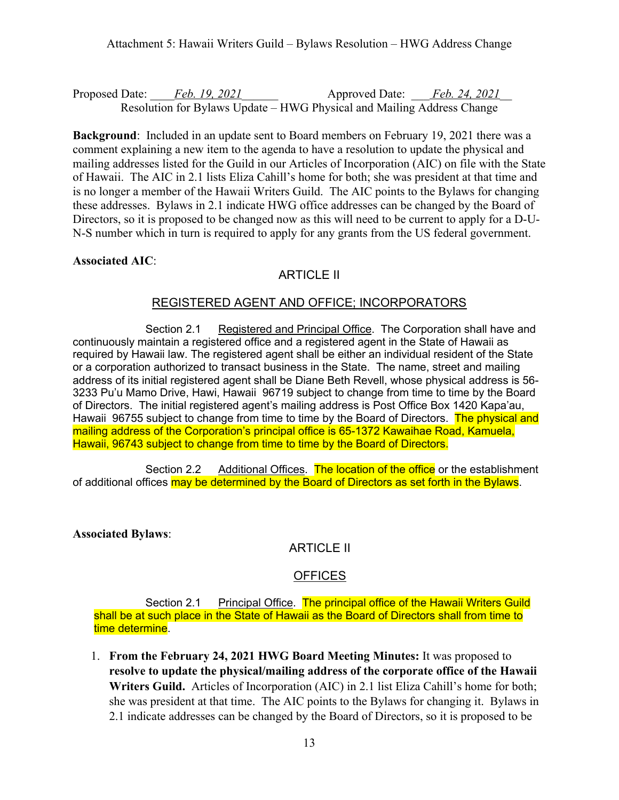Attachment 5: Hawaii Writers Guild – Bylaws Resolution – HWG Address Change

Proposed Date: <u>Feb. 19, 2021</u> Approved Date: Feb. 24, 2021 Resolution for Bylaws Update – HWG Physical and Mailing Address Change

**Background**: Included in an update sent to Board members on February 19, 2021 there was a comment explaining a new item to the agenda to have a resolution to update the physical and mailing addresses listed for the Guild in our Articles of Incorporation (AIC) on file with the State of Hawaii. The AIC in 2.1 lists Eliza Cahill's home for both; she was president at that time and is no longer a member of the Hawaii Writers Guild. The AIC points to the Bylaws for changing these addresses. Bylaws in 2.1 indicate HWG office addresses can be changed by the Board of Directors, so it is proposed to be changed now as this will need to be current to apply for a D-U-N-S number which in turn is required to apply for any grants from the US federal government.

**Associated AIC**:

# ARTICLE II

## REGISTERED AGENT AND OFFICE; INCORPORATORS

Section 2.1 Registered and Principal Office. The Corporation shall have and continuously maintain a registered office and a registered agent in the State of Hawaii as required by Hawaii law. The registered agent shall be either an individual resident of the State or a corporation authorized to transact business in the State. The name, street and mailing address of its initial registered agent shall be Diane Beth Revell, whose physical address is 56- 3233 Pu'u Mamo Drive, Hawi, Hawaii 96719 subject to change from time to time by the Board of Directors. The initial registered agent's mailing address is Post Office Box 1420 Kapa'au, Hawaii 96755 subject to change from time to time by the Board of Directors. The physical and mailing address of the Corporation's principal office is 65-1372 Kawaihae Road, Kamuela, Hawaii, 96743 subject to change from time to time by the Board of Directors.

Section 2.2 Additional Offices. The location of the office or the establishment of additional offices may be determined by the Board of Directors as set forth in the Bylaws.

**Associated Bylaws**:

# ARTICLE II

## OFFICES

Section 2.1 Principal Office. The principal office of the Hawaii Writers Guild shall be at such place in the State of Hawaii as the Board of Directors shall from time to time determine.

1. **From the February 24, 2021 HWG Board Meeting Minutes:** It was proposed to **resolve to update the physical/mailing address of the corporate office of the Hawaii Writers Guild.** Articles of Incorporation (AIC) in 2.1 list Eliza Cahill's home for both; she was president at that time. The AIC points to the Bylaws for changing it. Bylaws in 2.1 indicate addresses can be changed by the Board of Directors, so it is proposed to be